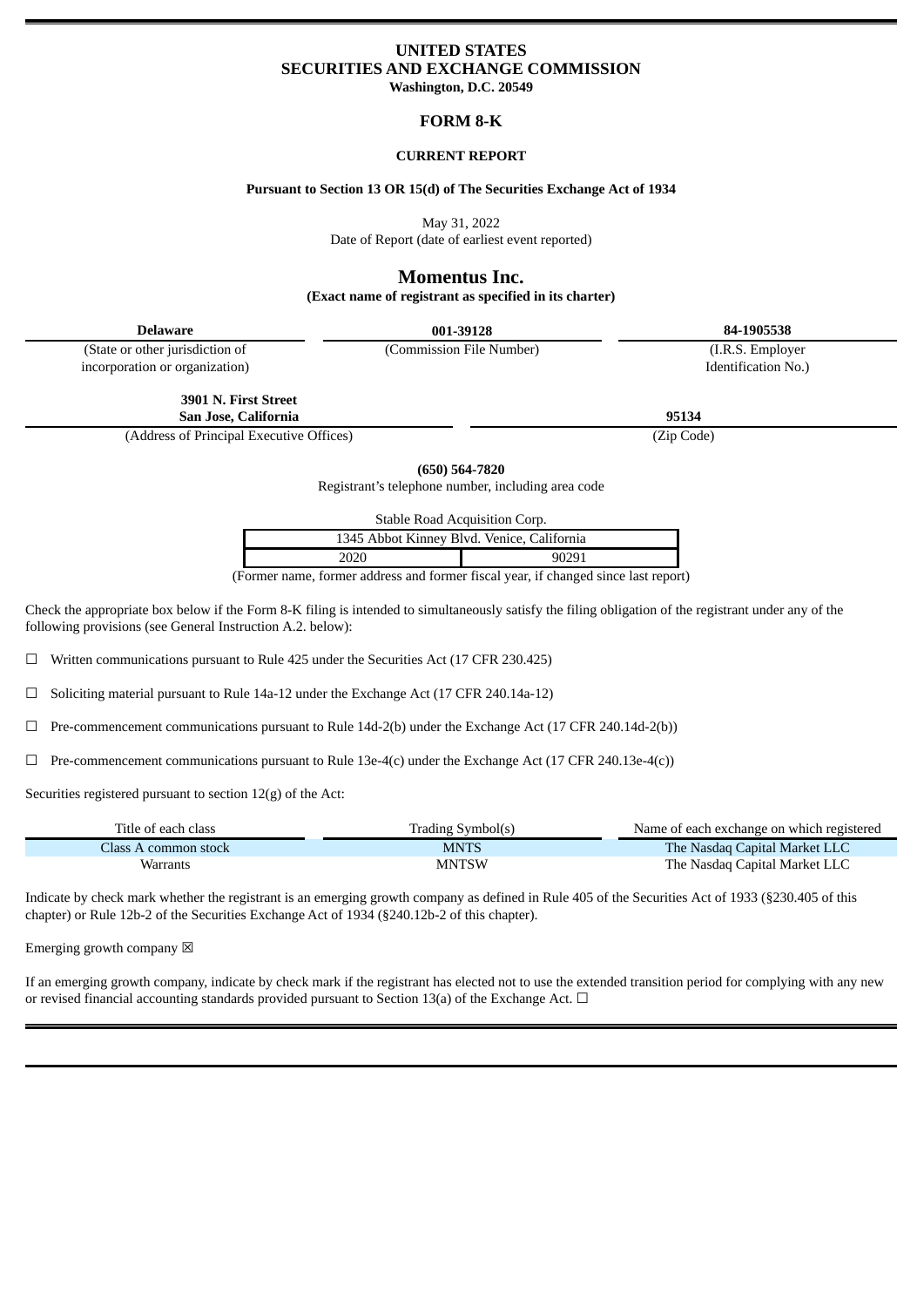# **UNITED STATES SECURITIES AND EXCHANGE COMMISSION**

**Washington, D.C. 20549**

# **FORM 8-K**

#### **CURRENT REPORT**

#### **Pursuant to Section 13 OR 15(d) of The Securities Exchange Act of 1934**

May 31, 2022

Date of Report (date of earliest event reported)

## **Momentus Inc.**

**(Exact name of registrant as specified in its charter)**

**Delaware 001-39128 84-1905538**

(State or other jurisdiction of incorporation or organization)

> **3901 N. First Street San Jose, California 95134**

(Address of Principal Executive Offices) (Zip Code)

**(650) 564-7820**

Registrant's telephone number, including area code

Stable Road Acquisition Corp.

| 1345 Abbot Kinney Blvd. Venice, California |       |
|--------------------------------------------|-------|
| 2020                                       | 90291 |

(Former name, former address and former fiscal year, if changed since last report)

Check the appropriate box below if the Form 8-K filing is intended to simultaneously satisfy the filing obligation of the registrant under any of the following provisions (see General Instruction A.2. below):

☐ Written communications pursuant to Rule 425 under the Securities Act (17 CFR 230.425)

☐ Soliciting material pursuant to Rule 14a-12 under the Exchange Act (17 CFR 240.14a-12)

 $\Box$  Pre-commencement communications pursuant to Rule 14d-2(b) under the Exchange Act (17 CFR 240.14d-2(b))

 $\Box$  Pre-commencement communications pursuant to Rule 13e-4(c) under the Exchange Act (17 CFR 240.13e-4(c))

Securities registered pursuant to section 12(g) of the Act:

| Title of each class  | Trading Symbol(s) | Name of each exchange on which registered |
|----------------------|-------------------|-------------------------------------------|
| Class A common stock | <b>MNTS</b>       | The Nasdag Capital Market LLC             |
| Warrants             | <b>MNTSW</b>      | The Nasdaq Capital Market LLC             |

Indicate by check mark whether the registrant is an emerging growth company as defined in Rule 405 of the Securities Act of 1933 (§230.405 of this chapter) or Rule 12b-2 of the Securities Exchange Act of 1934 (§240.12b-2 of this chapter).

Emerging growth company  $\boxtimes$ 

If an emerging growth company, indicate by check mark if the registrant has elected not to use the extended transition period for complying with any new or revised financial accounting standards provided pursuant to Section 13(a) of the Exchange Act.  $\Box$ 

Identification No.)

(Commission File Number) (I.R.S. Employer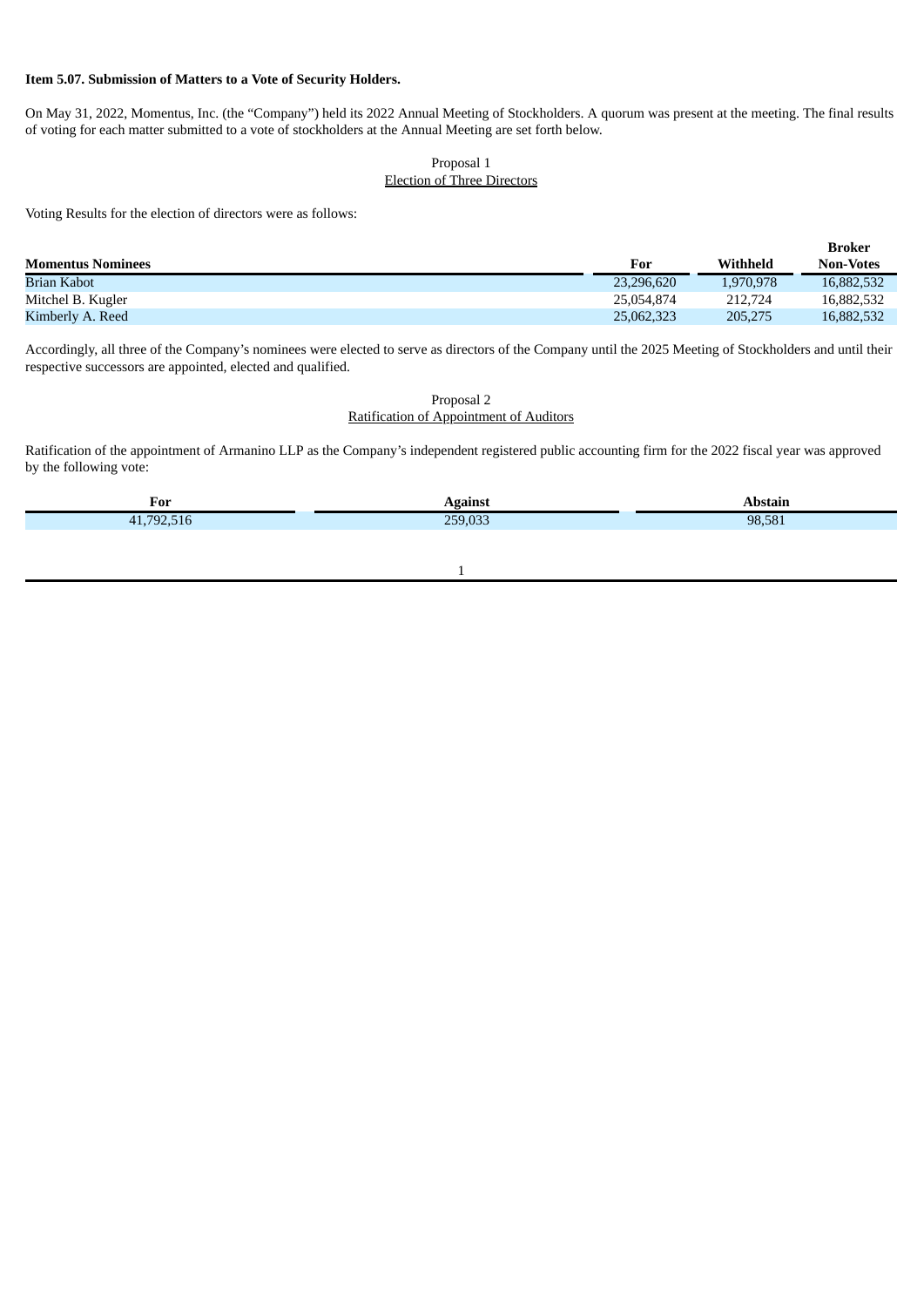### **Item 5.07. Submission of Matters to a Vote of Security Holders.**

On May 31, 2022, Momentus, Inc. (the "Company") held its 2022 Annual Meeting of Stockholders. A quorum was present at the meeting. The final results of voting for each matter submitted to a vote of stockholders at the Annual Meeting are set forth below.

### Proposal 1 Election of Three Directors

Voting Results for the election of directors were as follows:

|                          |            |           | <b>Broker</b>    |
|--------------------------|------------|-----------|------------------|
| <b>Momentus Nominees</b> | For        | Withheld  | <b>Non-Votes</b> |
| Brian Kabot              | 23,296,620 | 1.970.978 | 16,882,532       |
| Mitchel B. Kugler        | 25.054.874 | 212,724   | 16,882,532       |
| Kimberly A. Reed         | 25,062,323 | 205,275   | 16,882,532       |

Accordingly, all three of the Company's nominees were elected to serve as directors of the Company until the 2025 Meeting of Stockholders and until their respective successors are appointed, elected and qualified.

> Proposal 2 Ratification of Appointment of Auditors

Ratification of the appointment of Armanino LLP as the Company's independent registered public accounting firm for the 2022 fiscal year was approved by the following vote:

| For |                      |        |
|-----|----------------------|--------|
|     | 0.00<br>$n = n$<br>. | 98.581 |
|     |                      |        |

#### 1